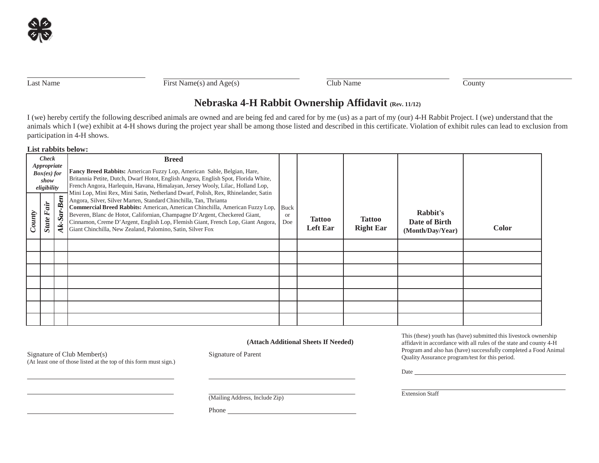Last Name First Name(s) and  $Age(s)$  Club Name County

# **Nebraska 4-H Rabbit Ownership Affidavit (Rev. 11/12)**

I (we) hereby certify the following described animals are owned and are being fed and cared for by me (us) as a part of my (our) 4-H Rabbit Project. I (we) understand that the animals which I (we) exhibit at 4-H shows during the project year shall be among those listed and described in this certificate. Violation of exhibit rules can lead to exclusion from participation in 4-H shows.

#### **List rabbits below:**

(At least one of those listed at the top of this form must sign.)

| <b>Check</b><br>Appropriate<br>$Box(es)$ for<br>show<br>eligibility |                      |                           | <b>Breed</b><br>Fancy Breed Rabbits: American Fuzzy Lop, American Sable, Belgian, Hare,<br>Britannia Petite, Dutch, Dwarf Hotot, English Angora, English Spot, Florida White,<br>French Angora, Harlequin, Havana, Himalayan, Jersey Wooly, Lilac, Holland Lop,<br>Mini Lop, Mini Rex, Mini Satin, Netherland Dwarf, Polish, Rex, Rhinelander, Satin                             |                              |                                  |                                   |                                               |              |
|---------------------------------------------------------------------|----------------------|---------------------------|----------------------------------------------------------------------------------------------------------------------------------------------------------------------------------------------------------------------------------------------------------------------------------------------------------------------------------------------------------------------------------|------------------------------|----------------------------------|-----------------------------------|-----------------------------------------------|--------------|
| County                                                              | Fair<br><b>State</b> | <b>Ben</b><br>$\tilde{s}$ | Angora, Silver, Silver Marten, Standard Chinchilla, Tan, Thrianta<br>Commercial Breed Rabbits: American, American Chinchilla, American Fuzzy Lop,<br>Beveren, Blanc de Hotot, Californian, Champagne D'Argent, Checkered Giant,<br>Cinnamon, Creme D'Argent, English Lop, Flemish Giant, French Lop, Giant Angora,<br>Giant Chinchilla, New Zealand, Palomino, Satin, Silver Fox | Buck<br><sub>or</sub><br>Doe | <b>Tattoo</b><br><b>Left Ear</b> | <b>Tattoo</b><br><b>Right Ear</b> | Rabbit's<br>Date of Birth<br>(Month/Day/Year) | <b>Color</b> |
|                                                                     |                      |                           |                                                                                                                                                                                                                                                                                                                                                                                  |                              |                                  |                                   |                                               |              |
|                                                                     |                      |                           |                                                                                                                                                                                                                                                                                                                                                                                  |                              |                                  |                                   |                                               |              |
|                                                                     |                      |                           |                                                                                                                                                                                                                                                                                                                                                                                  |                              |                                  |                                   |                                               |              |
|                                                                     |                      |                           |                                                                                                                                                                                                                                                                                                                                                                                  |                              |                                  |                                   |                                               |              |
|                                                                     |                      |                           |                                                                                                                                                                                                                                                                                                                                                                                  |                              |                                  |                                   |                                               |              |
|                                                                     |                      |                           |                                                                                                                                                                                                                                                                                                                                                                                  |                              |                                  |                                   |                                               |              |
|                                                                     |                      |                           |                                                                                                                                                                                                                                                                                                                                                                                  |                              |                                  |                                   |                                               |              |

#### **(Attach Additional Sheets If Needed)**

Signature of Club Member(s) Signature of Parent

This (these) youth has (have) submitted this livestock ownership affidavit in accordance with all rules of the state and county 4-H Program and also has (have) successfully completed a Food Animal QualityAssurance program/test for this period.

Date <u>superior and the set of the set of the set of the set of the set of the set of the set of the set of the set of the set of the set of the set of the set of the set of the set of the set of the set of the set of the s</u>

(Mailing Address, Include Zip)

Phone

Extension Staff